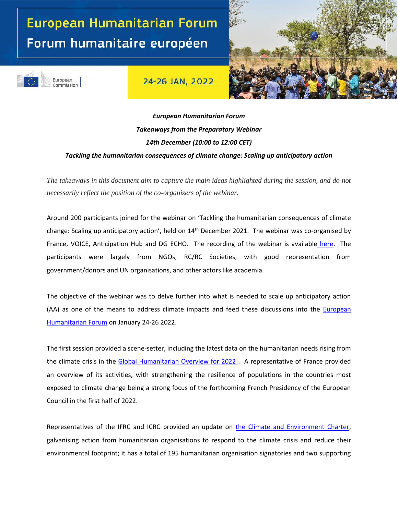## European Humanitarian Forum Forum humanitaire européen

European

Commission

24-26 JAN, 2022



## *European Humanitarian Forum Takeaways from the Preparatory Webinar 14th December (10:00 to 12:00 CET) Tackling the humanitarian consequences of climate change: Scaling up anticipatory action*

*The takeaways in this document aim to capture the main ideas highlighted during the session, and do not necessarily reflect the position of the co-organizers of the webinar.*

Around 200 participants joined for the webinar on 'Tackling the humanitarian consequences of climate change: Scaling up anticipatory action', held on 14<sup>th</sup> December 2021. The webinar was co-organised by France, VOICE, Anticipation Hub and DG ECHO. The recording of the webinar is available [here.](https://webcast.ec.europa.eu/european-humanitarian-forum-preparatory-webinar-2021-12-14) The participants were largely from NGOs, RC/RC Societies, with good representation from government/donors and UN organisations, and other actors like academia.

The objective of the webinar was to delve further into what is needed to scale up anticipatory action (AA) as one of the means to address climate impacts and feed these discussions into the [European](https://humanitarian.forum.europa.eu/index_en)  [Humanitarian](https://humanitarian.forum.europa.eu/index_en) Forum on January 24-26 2022.

The first session provided a scene-setter, including the latest data on the humanitarian needs rising from the climate crisis in the [Global Humanitarian Overview for 2022 .](https://gho.unocha.org/) A representative of France provided an overview of its activities, with strengthening the resilience of populations in the countries most exposed to climate change being a strong focus of the forthcoming French Presidency of the European Council in the first half of 2022.

Representatives of the IFRC and ICRC provided an update on [the Climate and Environment Charter,](https://www.climate-charter.org/) galvanising action from humanitarian organisations to respond to the climate crisis and reduce their environmental footprint; it has a total of 195 humanitarian organisation signatories and two supporting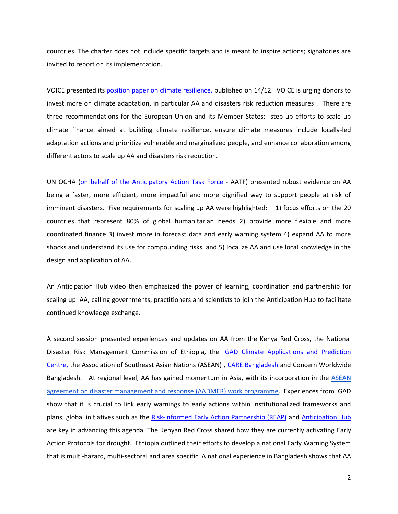countries. The charter does not include specific targets and is meant to inspire actions; signatories are invited to report on its implementation.

VOICE presented its [position paper on climate resilience,](https://voiceeu.org/search?q=NGO+perspective+on+climate+resilience) published on 14/12. VOICE is urging donors to invest more on climate adaptation, in particular AA and disasters risk reduction measures . There are three recommendations for the European Union and its Member States: step up efforts to scale up climate finance aimed at building climate resilience, ensure climate measures include locally-led adaptation actions and prioritize vulnerable and marginalized people, and enhance collaboration among different actors to scale up AA and disasters risk reduction.

UN OCHA [\(on behalf of the Anticipatory Action Task Force](https://www.anticipation-hub.org/exchange/networks-and-forums/anticipatory-action-task-force-aatf) - AATF) presented robust evidence on AA being a faster, more efficient, more impactful and more dignified way to support people at risk of imminent disasters. Five requirements for scaling up AA were highlighted: 1) focus efforts on the 20 countries that represent 80% of global humanitarian needs 2) provide more flexible and more coordinated finance 3) invest more in forecast data and early warning system 4) expand AA to more shocks and understand its use for compounding risks, and 5) localize AA and use local knowledge in the design and application of AA.

An [Anticipation Hub video](https://www.youtube.com/watch?v=h_jCQqv6W38&t=4s) then emphasized the power of learning, coordination and partnership for scaling up AA, calling governments, practitioners and scientists to join the [Anticipation Hub](https://www.anticipation-hub.org/) to facilitate continued knowledge exchange.

A second session presented experiences and updates on AA from the Kenya Red Cross, the National Disaster Risk Management Commission of Ethiopia, the **IGAD Climate Applications and Prediction** [Centre,](https://www.icpac.net/) the Association of Southeast Asian Nations (ASEAN) , [CARE Bangladesh](https://reliefweb.int/report/bangladesh/evaluation-supporting-flood-forecast-based-action-and-learning-sufal-project-2020) [and Concern Worldwide](https://reliefweb.int/report/bangladesh/evaluation-supporting-flood-forecast-based-action-and-learning-sufal-project-2020)  [Bangladesh. A](https://reliefweb.int/report/bangladesh/evaluation-supporting-flood-forecast-based-action-and-learning-sufal-project-2020)t regional level, AA has gained momentum in Asia, with its incorporation in the [ASEAN](https://asean.org/book/asean-agreement-on-disaster-management-and-emergency-response-aadmer-work-programme-2021-2025/)  [agreement on disaster management and response \(AADMER\) work programme.](https://asean.org/book/asean-agreement-on-disaster-management-and-emergency-response-aadmer-work-programme-2021-2025/) Experiences from IGAD show that it is crucial to link early warnings to early actions within institutionalized frameworks and plans; global initiatives such as the [Risk-informed Early Action Pa](https://www.early-action-reap.org/)rtnership (REAP) and [Anticipation Hub](https://www.anticipation-hub.org/exchange/networks-and-forums/anticipatory-action-task-force-aatf) are key in advancing this agenda. The Kenyan Red Cross shared how they are currently activating [Early](https://www.anticipation-hub.org/experience/anticipatory-action-in-the-world/kenya)  [Action Protocols](https://www.anticipation-hub.org/experience/anticipatory-action-in-the-world/kenya) [for drought.](https://www.anticipation-hub.org/experience/anticipatory-action-in-the-world/kenya) Ethiopia outlined their efforts to develop a national Early Warning System that is multi-hazard, multi-sectoral and area specific. A national experience in Bangladesh shows that AA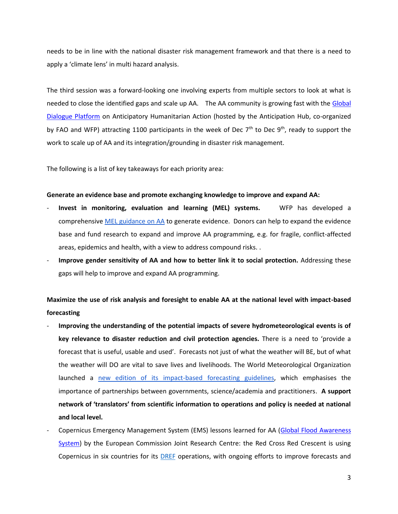needs to be in line with the national disaster risk management framework and that there is a need to apply a 'climate lens' in multi hazard analysis.

The third session was a forward-looking one involving experts from multiple sectors to look at what is needed to close the identified gaps and scale up AA. The AA community is growing fast with the [Global](https://events.anticipation-hub.org/global-dialogue-platform-2021/agenda/)  [Dialogue Platform](https://events.anticipation-hub.org/global-dialogue-platform-2021/agenda/) on Anticipatory Humanitarian Action (hosted by the Anticipation Hub, co-organized by FAO and WFP) attracting 1100 participants in the week of Dec  $7<sup>th</sup>$  to Dec  $9<sup>th</sup>$ , ready to support the work to scale up of AA and its integration/grounding in disaster risk management.

The following is a list of key takeaways for each priority area:

## **Generate an evidence base and promote exchanging knowledge to improve and expand AA:**

- **Invest in monitoring, evaluation and learning (MEL) systems.** WFP has developed a comprehensive [MEL](https://www.anticipation-hub.org/Documents/Manuals_and_Guidelines/WFP-FbF-MEGuide-Oct2021.pdf) [guidance on AA](https://www.anticipation-hub.org/Documents/Manuals_and_Guidelines/WFP-FbF-MEGuide-Oct2021.pdf) to generate evidence. Donors can help to expand the evidence base and fund research to expand and improve AA programming, e.g. for fragile, conflict-affected areas, epidemics and health, with a view to address compound risks. .
- **Improve gender sensitivity of AA and how to better link it to social protection.** Addressing these gaps will help to improve and expand AA programming.

**Maximize the use of risk analysis and foresight to enable AA at the national level with impact-based forecasting** 

- **Improving the understanding of the potential impacts of severe hydrometeorological events is of key relevance to disaster reduction and civil protection agencies.** There is a need to 'provide a forecast that is useful, usable and used'. Forecasts not just of what the weather will BE, but of what the weather will DO are vital to save lives and livelihoods. The World Meteorological Organization launched a [new edition of its impact-based forecasting guidelines,](https://library.wmo.int/doc_num.php?explnum_id=10936) which emphasises the importance of partnerships between governments, science/academia and practitioners. **A support network of 'translators' from scientific information to operations and policy is needed at national and local level.**
- Copernicus Emergency Management System (EMS) lessons learned for AA (Global Flood Awareness [System\)](https://www.globalfloods.eu/) by the European Commission Joint Research Centre: the Red Cross Red Crescent is using Copernicus in six countries for its **DREF** operations, with ongoing efforts to improve forecasts and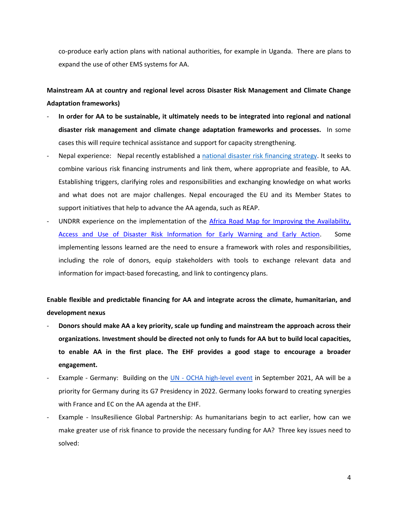co-produce early action plans with national authorities, for example in [Uganda.](https://www.anticipation-hub.org/news/the-coproduction-of-the-early-action-protocol-for-floods-in-uganda-a-model-of-strong-collaboration-for-the-effective-scale-up-of-fbf) There are plans to expand the use of other EMS systems for AA.

**Mainstream AA at country and regional level across Disaster Risk Management and Climate Change Adaptation frameworks)**

- **In order for AA to be sustainable, it ultimately needs to be integrated into regional and national disaster risk management and climate change adaptation frameworks and processes.** In some cases this will require technical assistance and support for capacity strengthening.
- Nepal experience: Nepal recently established a [national disaster risk financing strategy.](https://documents1.worldbank.org/curated/en/694721593413989266/pdf/National-Disaster-Risk-Financing-Strategy-2020.pdf) It seeks to combine various risk financing instruments and link them, where appropriate and feasible, to AA. Establishing triggers, clarifying roles and responsibilities and exchanging knowledge on what works and what does not are major challenges. Nepal encouraged the EU and its Member States to support initiatives that help to advance the AA agenda, such as REAP.
- UNDRR experience on the implementation of the Africa Road Map for Improving the Availability, [Access and Use of Disaster Risk Information for Early Warning and Early Action.](https://www.undrr.org/publication/africa-road-map-improving-availability-access-and-use-disaster-risk-information-early) Some implementing lessons learned are the need to ensure a framework with roles and responsibilities, including the role of donors, equip stakeholders with tools to exchange relevant data and information for impact-based forecasting, and link to contingency plans.

**Enable flexible and predictable financing for AA and integrate across the climate, humanitarian, and development nexus** 

- **Donors should make AA a key priority, scale up funding and mainstream the approach across their organizations. Investment should be directed not only to funds for AA but to build local capacities, to enable AA in the first place. The EHF provides a good stage to encourage a broader engagement.**
- Example Germany: Building on the UN [OCHA](https://www.unocha.org/high-level-humanitarian-event-anticipatory-action-commitment-act-ahead-crises) [high-level event](https://www.unocha.org/high-level-humanitarian-event-anticipatory-action-commitment-act-ahead-crises) in September 2021, AA will be a priority for Germany during its G7 Presidency in 2022. Germany looks forward to creating synergies with France and EC on the AA agenda at the EHF.
- Example InsuResilience Global Partnership: As humanitarians begin to act earlier, how can we make greater use of risk finance to provide the necessary funding for AA? Three key issues need to solved: